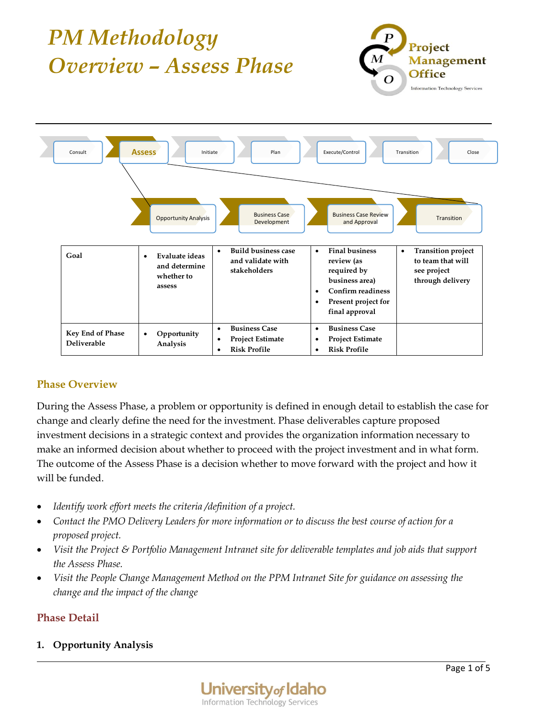

# **Phase Overview**

During the Assess Phase, a problem or opportunity is defined in enough detail to establish the case for change and clearly define the need for the investment. Phase deliverables capture proposed investment decisions in a strategic context and provides the organization information necessary to make an informed decision about whether to proceed with the project investment and in what form. The outcome of the Assess Phase is a decision whether to move forward with the project and how it will be funded.

- *Identify work effort meets the criteria /definition of a project.*
- *Contact the PMO Delivery Leaders for more information or to discuss the best course of action for a proposed project.*
- *Visit the Project & Portfolio Management Intranet site for deliverable templates and job aids that support the Assess Phase.*
- *Visit the People Change Management Method on the PPM Intranet Site for guidance on assessing the change and the impact of the change*

## **Phase Detail**

## **1. Opportunity Analysis**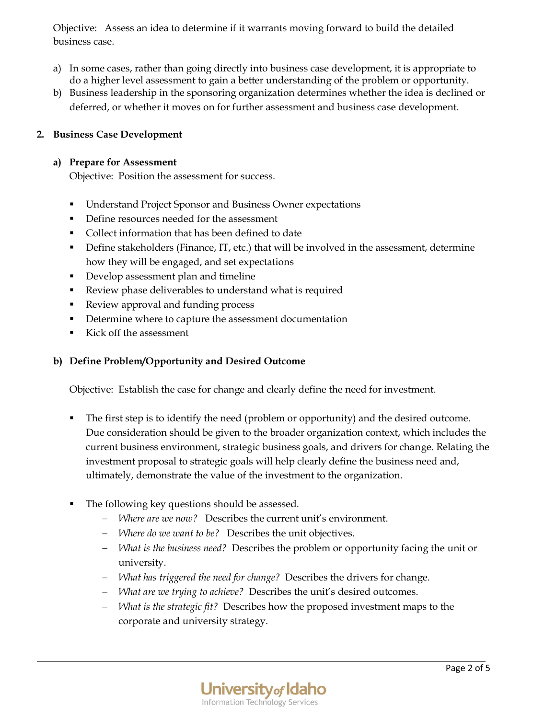Objective: Assess an idea to determine if it warrants moving forward to build the detailed business case.

- a) In some cases, rather than going directly into business case development, it is appropriate to do a higher level assessment to gain a better understanding of the problem or opportunity.
- b) Business leadership in the sponsoring organization determines whether the idea is declined or deferred, or whether it moves on for further assessment and business case development.

## **2. Business Case Development**

#### **a) Prepare for Assessment**

Objective: Position the assessment for success.

- Understand Project Sponsor and Business Owner expectations
- Define resources needed for the assessment
- Collect information that has been defined to date
- **•** Define stakeholders (Finance, IT, etc.) that will be involved in the assessment, determine how they will be engaged, and set expectations
- Develop assessment plan and timeline
- Review phase deliverables to understand what is required
- Review approval and funding process
- Determine where to capture the assessment documentation
- Kick off the assessment

### **b) Define Problem/Opportunity and Desired Outcome**

Objective: Establish the case for change and clearly define the need for investment.

- The first step is to identify the need (problem or opportunity) and the desired outcome. Due consideration should be given to the broader organization context, which includes the current business environment, strategic business goals, and drivers for change. Relating the investment proposal to strategic goals will help clearly define the business need and, ultimately, demonstrate the value of the investment to the organization.
- The following key questions should be assessed.
	- *Where are we now?* Describes the current unit's environment.
	- *Where do we want to be?* Describes the unit objectives.
	- *What is the business need?* Describes the problem or opportunity facing the unit or university.
	- *What has triggered the need for change?* Describes the drivers for change.
	- *What are we trying to achieve?* Describes the unit's desired outcomes.
	- *What is the strategic fit?* Describes how the proposed investment maps to the corporate and university strategy.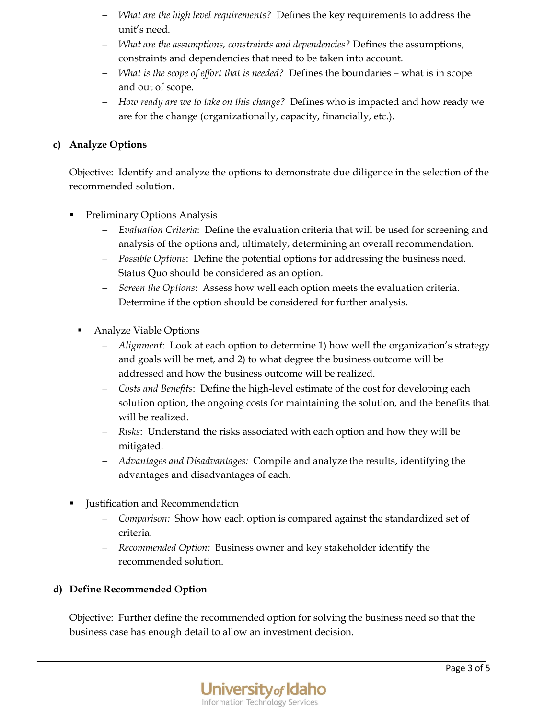- *What are the high level requirements?* Defines the key requirements to address the unit's need.
- *What are the assumptions, constraints and dependencies?* Defines the assumptions, constraints and dependencies that need to be taken into account.
- *What is the scope of effort that is needed?* Defines the boundaries what is in scope and out of scope.
- *How ready are we to take on this change?* Defines who is impacted and how ready we are for the change (organizationally, capacity, financially, etc.).

## **c) Analyze Options**

Objective: Identify and analyze the options to demonstrate due diligence in the selection of the recommended solution.

- **•** Preliminary Options Analysis
	- *Evaluation Criteria*: Define the evaluation criteria that will be used for screening and analysis of the options and, ultimately, determining an overall recommendation.
	- *Possible Options*: Define the potential options for addressing the business need. Status Quo should be considered as an option.
	- *Screen the Options*: Assess how well each option meets the evaluation criteria. Determine if the option should be considered for further analysis.
	- Analyze Viable Options
		- *Alignment*: Look at each option to determine 1) how well the organization's strategy and goals will be met, and 2) to what degree the business outcome will be addressed and how the business outcome will be realized.
		- *Costs and Benefits*: Define the high-level estimate of the cost for developing each solution option, the ongoing costs for maintaining the solution, and the benefits that will be realized.
		- *Risks*: Understand the risks associated with each option and how they will be mitigated.
		- *Advantages and Disadvantages:* Compile and analyze the results, identifying the advantages and disadvantages of each.
- Justification and Recommendation
	- *Comparison:* Show how each option is compared against the standardized set of criteria.
	- *Recommended Option:* Business owner and key stakeholder identify the recommended solution.

# **d) Define Recommended Option**

Objective: Further define the recommended option for solving the business need so that the business case has enough detail to allow an investment decision.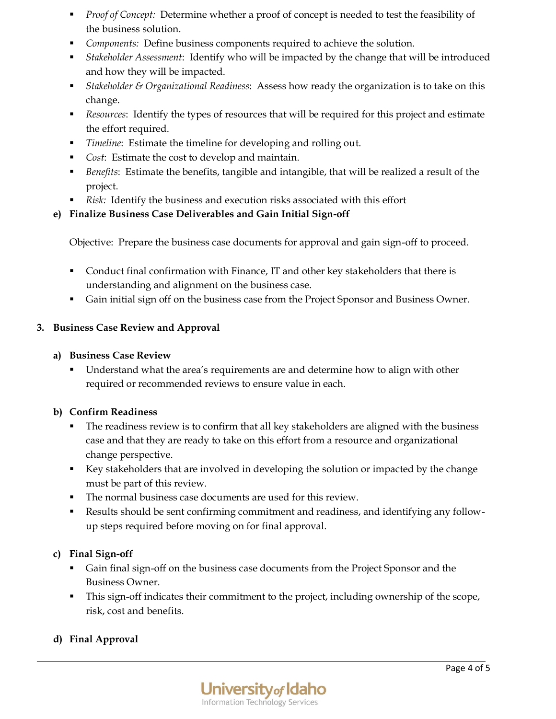- *Proof of Concept:* Determine whether a proof of concept is needed to test the feasibility of the business solution.
- *Components:* Define business components required to achieve the solution.
- *Stakeholder Assessment*: Identify who will be impacted by the change that will be introduced and how they will be impacted.
- *Stakeholder & Organizational Readiness*: Assess how ready the organization is to take on this change.
- *Resources*: Identify the types of resources that will be required for this project and estimate the effort required.
- *Timeline*: Estimate the timeline for developing and rolling out.
- *Cost*: Estimate the cost to develop and maintain.
- *Benefits*: Estimate the benefits, tangible and intangible, that will be realized a result of the project.
- *Risk:* Identify the business and execution risks associated with this effort

## **e) Finalize Business Case Deliverables and Gain Initial Sign-off**

Objective: Prepare the business case documents for approval and gain sign-off to proceed.

- Conduct final confirmation with Finance, IT and other key stakeholders that there is understanding and alignment on the business case.
- Gain initial sign off on the business case from the Project Sponsor and Business Owner.

## **3. Business Case Review and Approval**

### **a) Business Case Review**

▪ Understand what the area's requirements are and determine how to align with other required or recommended reviews to ensure value in each.

## **b) Confirm Readiness**

- **•** The readiness review is to confirm that all key stakeholders are aligned with the business case and that they are ready to take on this effort from a resource and organizational change perspective.
- Key stakeholders that are involved in developing the solution or impacted by the change must be part of this review.
- The normal business case documents are used for this review.
- Results should be sent confirming commitment and readiness, and identifying any followup steps required before moving on for final approval.

## **c) Final Sign-off**

- Gain final sign-off on the business case documents from the Project Sponsor and the Business Owner.
- This sign-off indicates their commitment to the project, including ownership of the scope, risk, cost and benefits.

# **d) Final Approval**